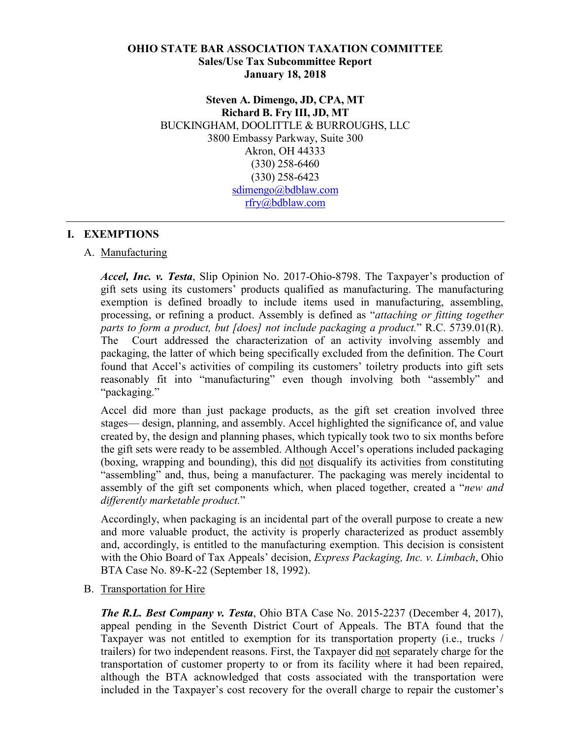#### **OHIO STATE BAR ASSOCIATION TAXATION COMMITTEE Sales/Use Tax Subcommittee Report January 18, 2018**

**Steven A. Dimengo, JD, CPA, MT Richard B. Fry III, JD, MT** BUCKINGHAM, DOOLITTLE & BURROUGHS, LLC 3800 Embassy Parkway, Suite 300 Akron, OH 44333 (330) 258-6460 (330) 258-6423 sdimengo@bdblaw.com rfry@bdblaw.com

## **I. EXEMPTIONS**

#### A. Manufacturing

*Accel, Inc. v. Testa*, Slip Opinion No. 2017-Ohio-8798. The Taxpayer's production of gift sets using its customers' products qualified as manufacturing. The manufacturing exemption is defined broadly to include items used in manufacturing, assembling, processing, or refining a product. Assembly is defined as "*attaching or fitting together parts to form a product, but [does] not include packaging a product.*" R.C. 5739.01(R). The Court addressed the characterization of an activity involving assembly and packaging, the latter of which being specifically excluded from the definition. The Court found that Accel's activities of compiling its customers' toiletry products into gift sets reasonably fit into "manufacturing" even though involving both "assembly" and "packaging."

Accel did more than just package products, as the gift set creation involved three stages— design, planning, and assembly. Accel highlighted the significance of, and value created by, the design and planning phases, which typically took two to six months before the gift sets were ready to be assembled. Although Accel's operations included packaging (boxing, wrapping and bounding), this did not disqualify its activities from constituting "assembling" and, thus, being a manufacturer. The packaging was merely incidental to assembly of the gift set components which, when placed together, created a "*new and differently marketable product.*"

Accordingly, when packaging is an incidental part of the overall purpose to create a new and more valuable product, the activity is properly characterized as product assembly and, accordingly, is entitled to the manufacturing exemption. This decision is consistent with the Ohio Board of Tax Appeals' decision, *Express Packaging, Inc. v. Limbach*, Ohio BTA Case No. 89-K-22 (September 18, 1992).

#### B. Transportation for Hire

*The R.L. Best Company v. Testa*, Ohio BTA Case No. 2015-2237 (December 4, 2017), appeal pending in the Seventh District Court of Appeals. The BTA found that the Taxpayer was not entitled to exemption for its transportation property (i.e., trucks / trailers) for two independent reasons. First, the Taxpayer did not separately charge for the transportation of customer property to or from its facility where it had been repaired, although the BTA acknowledged that costs associated with the transportation were included in the Taxpayer's cost recovery for the overall charge to repair the customer's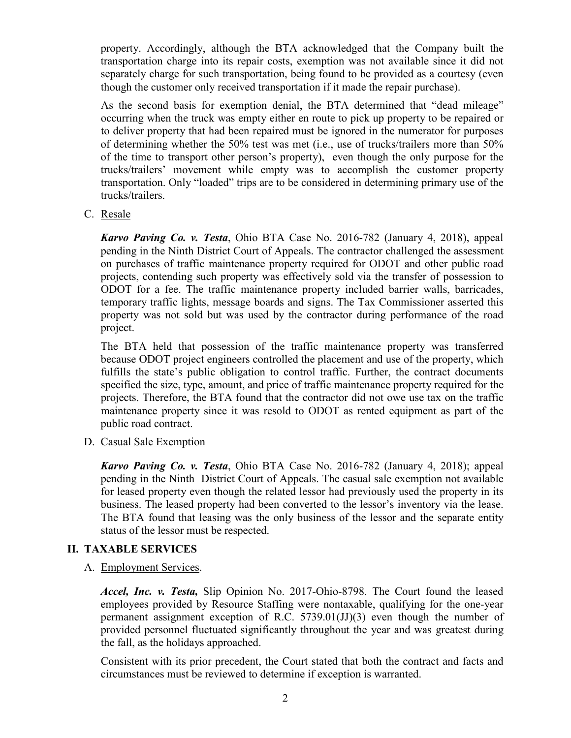property. Accordingly, although the BTA acknowledged that the Company built the transportation charge into its repair costs, exemption was not available since it did not separately charge for such transportation, being found to be provided as a courtesy (even though the customer only received transportation if it made the repair purchase).

As the second basis for exemption denial, the BTA determined that "dead mileage" occurring when the truck was empty either en route to pick up property to be repaired or to deliver property that had been repaired must be ignored in the numerator for purposes of determining whether the 50% test was met (i.e., use of trucks/trailers more than 50% of the time to transport other person's property), even though the only purpose for the trucks/trailers' movement while empty was to accomplish the customer property transportation. Only "loaded" trips are to be considered in determining primary use of the trucks/trailers.

C. Resale

*Karvo Paving Co. v. Testa*, Ohio BTA Case No. 2016-782 (January 4, 2018), appeal pending in the Ninth District Court of Appeals. The contractor challenged the assessment on purchases of traffic maintenance property required for ODOT and other public road projects, contending such property was effectively sold via the transfer of possession to ODOT for a fee. The traffic maintenance property included barrier walls, barricades, temporary traffic lights, message boards and signs. The Tax Commissioner asserted this property was not sold but was used by the contractor during performance of the road project.

The BTA held that possession of the traffic maintenance property was transferred because ODOT project engineers controlled the placement and use of the property, which fulfills the state's public obligation to control traffic. Further, the contract documents specified the size, type, amount, and price of traffic maintenance property required for the projects. Therefore, the BTA found that the contractor did not owe use tax on the traffic maintenance property since it was resold to ODOT as rented equipment as part of the public road contract.

D. Casual Sale Exemption

*Karvo Paving Co. v. Testa*, Ohio BTA Case No. 2016-782 (January 4, 2018); appeal pending in the Ninth District Court of Appeals. The casual sale exemption not available for leased property even though the related lessor had previously used the property in its business. The leased property had been converted to the lessor's inventory via the lease. The BTA found that leasing was the only business of the lessor and the separate entity status of the lessor must be respected.

# **II. TAXABLE SERVICES**

A. Employment Services.

*Accel, Inc. v. Testa,* Slip Opinion No. 2017-Ohio-8798. The Court found the leased employees provided by Resource Staffing were nontaxable, qualifying for the one-year permanent assignment exception of R.C. 5739.01(JJ)(3) even though the number of provided personnel fluctuated significantly throughout the year and was greatest during the fall, as the holidays approached.

Consistent with its prior precedent, the Court stated that both the contract and facts and circumstances must be reviewed to determine if exception is warranted.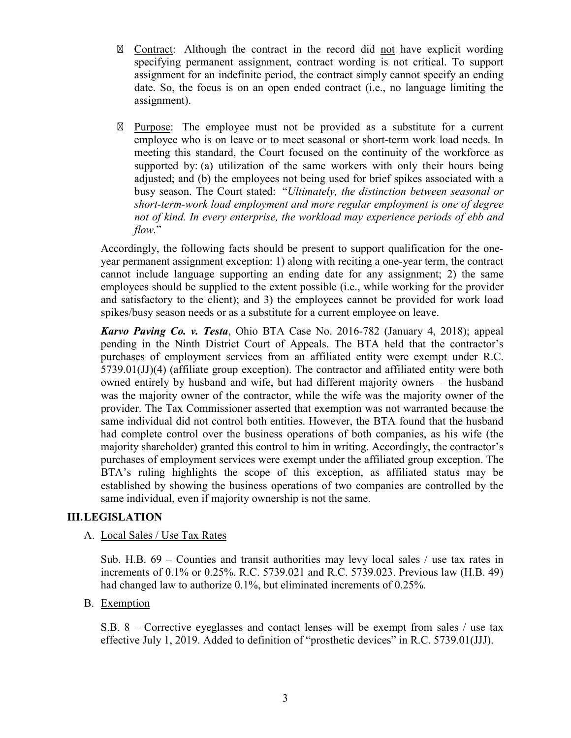Contract: Although the contract in the record did not have explicit wording specifying permanent assignment, contract wording is not critical. To support assignment for an indefinite period, the contract simply cannot specify an ending date. So, the focus is on an open ended contract (i.e., no language limiting the assignment).

Purpose: The employee must not be provided as a substitute for a current employee who is on leave or to meet seasonal or short-term work load needs. In meeting this standard, the Court focused on the continuity of the workforce as supported by: (a) utilization of the same workers with only their hours being adjusted; and (b) the employees not being used for brief spikes associated with a busy season. The Court stated: "*Ultimately, the distinction between seasonal or short-term-work load employment and more regular employment is one of degree not of kind. In every enterprise, the workload may experience periods of ebb and flow.*"

Accordingly, the following facts should be present to support qualification for the oneyear permanent assignment exception: 1) along with reciting a one-year term, the contract cannot include language supporting an ending date for any assignment; 2) the same employees should be supplied to the extent possible (i.e., while working for the provider and satisfactory to the client); and 3) the employees cannot be provided for work load spikes/busy season needs or as a substitute for a current employee on leave.

*Karvo Paving Co. v. Testa*, Ohio BTA Case No. 2016-782 (January 4, 2018); appeal pending in the Ninth District Court of Appeals. The BTA held that the contractor's purchases of employment services from an affiliated entity were exempt under R.C.  $5739.01(JJ)(4)$  (affiliate group exception). The contractor and affiliated entity were both owned entirely by husband and wife, but had different majority owners – the husband was the majority owner of the contractor, while the wife was the majority owner of the provider. The Tax Commissioner asserted that exemption was not warranted because the same individual did not control both entities. However, the BTA found that the husband had complete control over the business operations of both companies, as his wife (the majority shareholder) granted this control to him in writing. Accordingly, the contractor's purchases of employment services were exempt under the affiliated group exception. The BTA's ruling highlights the scope of this exception, as affiliated status may be established by showing the business operations of two companies are controlled by the same individual, even if majority ownership is not the same.

#### **III.LEGISLATION**

#### A. Local Sales / Use Tax Rates

Sub. H.B. 69 – Counties and transit authorities may levy local sales / use tax rates in increments of 0.1% or 0.25%. R.C. 5739.021 and R.C. 5739.023. Previous law (H.B. 49) had changed law to authorize 0.1%, but eliminated increments of 0.25%.

# B. Exemption

S.B. 8 – Corrective eyeglasses and contact lenses will be exempt from sales / use tax effective July 1, 2019. Added to definition of "prosthetic devices" in R.C. 5739.01(JJJ).